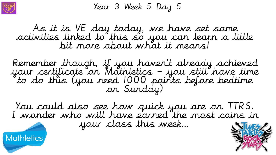

Year 3 Week 5 Day 5

As it is VE day today, we have set some activities linked to this so you can learn a little bit more about what it means!

Remember though, if you haven't already achieved your certificate on Mathletics – you still have time to do this (you need 1000 points before bedtime on Sunday)

You could also see how quick you are on TTRS. I wonder who will have earned the most coins in

your class this week…



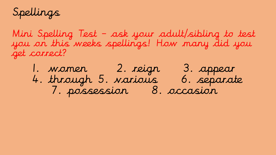Spellings

Mini Spelling Test – ask your adult/sibling to test you on this weeks spellings! How many did you get correct?

1. women 2. reign 3. appear 4. through 5. various 6. separate 7. possession 8. occasion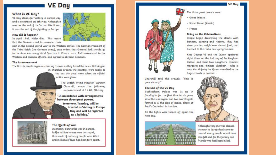### **VE Day**

#### What is VE Day?

VE Day stands for Victory in Europe Day, and is celebrated on 8th May. Although it was not the end of the Second World War, it was the end of the fighting in Europe.

#### How did it happen?

In April 1945, Hitler died. This meant that the Germans had to surrender their

part in the Second World War to the Western armies. The German President of the Third Reich (the German army), gave orders that General Jodi should go to the American army Head Quarters in France. Here, Jodl surrendered to the Western and Russian officers, and agreed to all their demands.

#### **The Announcement**

The British people began celebrating as soon as they heard the news! Bell ringers in churches around the country, were ready to ring out the good news when an official notice was given.

> The British Prime Minister, Winston Churchill, made the following announcement at 19.40, 7th May.

"In accordance with arrangements between three great powers, tomorrow, Tuesday, will be treated as Victory in Europe Day and will be regarded as a holiday."



#### **The Effects of War**

In Britain, during the war in Europe, half a million homes were destroyed, thousands of ordinary people were killed and millions of lives had been torn apart.



The three great powers were:

- · Great Britain
- · Soviet Union (Russia)
- · France

#### **Bring on the Celebrations!**

People began decorating the streets with banners, bunting and ribbons. They had street parties, neighbours shared food, and listened to the radio news programmes.

King George VI and the Queen appeared eight times on the balcony of Buckingham Palace, and their two daughters, Princess Margaret and Princess Elizabeth - who is now Her Majesty the Queen - walked in the huge crowds in London!



#### The End of the VE Day

Buckingham Palace was lit up in floodlights for the first time in six years since the war began, and two searchlights formed a V, the sign of peace, above St Paul's Cathedral in London.

All the lights were turned off again the next day.





Although everyone was pleased the war in Europe had come to an end, many people would have also felt sad, for the family and friends who had been killed.

#### **VE Day**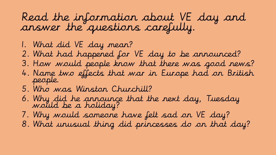## Read the information about VE day and answer the questions carefully.

- 1. What did VE day mean?
- 2. What had happened for VE day to be announced?
- 3. How would people know that there was good news?
- 4. Name two effects that war in Europe had on British people.
- 5. Who was Winston Churchill?
- 6. Why did he announce that the next day, Tuesday would be a holiday?
- 7. Why would someone have felt sad on VE day?
- 8. What unusual thing did princesses do on that day?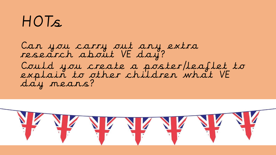# HOTs

Can you carry out any extra research about VE day? Could you create a poster/leaflet to explain to other children what VE day means?

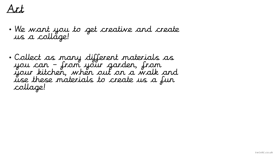## Art

- We want you to get creative and create us a collage!
- Collect as many different materials as you can – from your garden, from your kitchen, when out on a walk and use these materials to create us a fun collage!